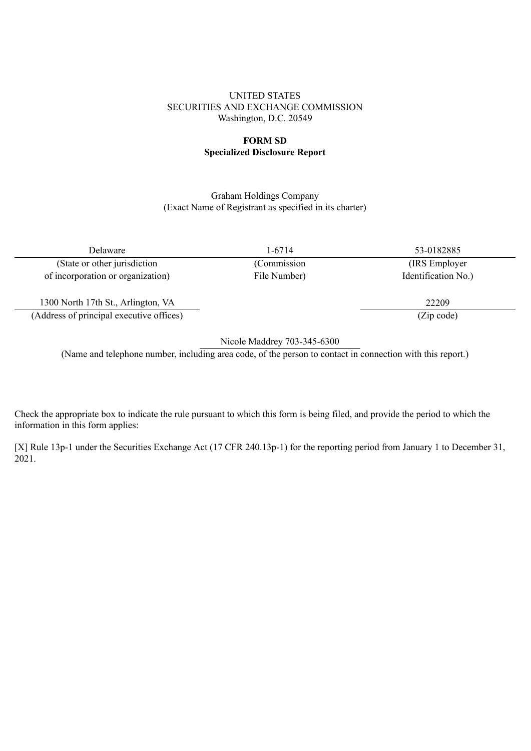#### UNITED STATES SECURITIES AND EXCHANGE COMMISSION Washington, D.C. 20549

#### **FORM SD Specialized Disclosure Report**

#### Graham Holdings Company (Exact Name of Registrant as specified in its charter)

Delaware 1-6714 53-0182885

(State or other jurisdiction (Commission (IRS Employer of incorporation or organization) File Number) Identification No.)

1300 North 17th St., Arlington, VA 22209 (Address of principal executive offices) (Zip code)

Nicole Maddrey 703-345-6300

(Name and telephone number, including area code, of the person to contact in connection with this report.)

Check the appropriate box to indicate the rule pursuant to which this form is being filed, and provide the period to which the information in this form applies:

[X] Rule 13p-1 under the Securities Exchange Act (17 CFR 240.13p-1) for the reporting period from January 1 to December 31, 2021.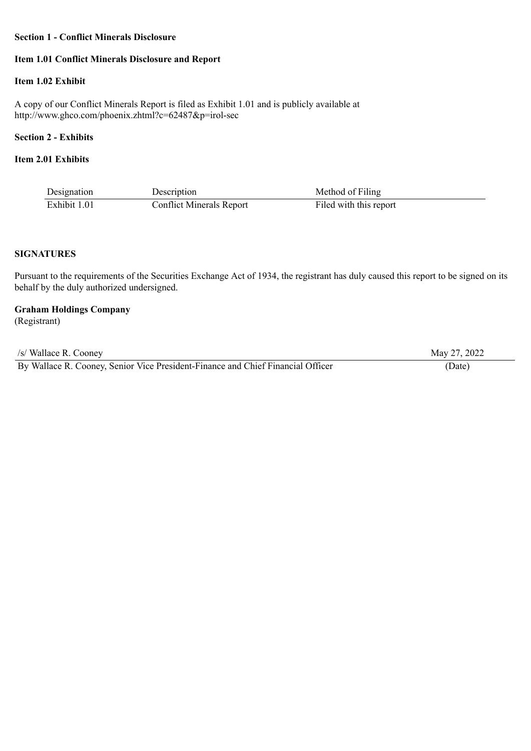#### **Section 1 - Conflict Minerals Disclosure**

## **Item 1.01 Conflict Minerals Disclosure and Report**

### **Item 1.02 Exhibit**

A copy of our Conflict Minerals Report is filed as Exhibit 1.01 and is publicly available at http://www.ghco.com/phoenix.zhtml?c=62487&p=irol-sec

## **Section 2 - Exhibits**

## **Item 2.01 Exhibits**

| Designation  | Description                     | Method of Filing       |
|--------------|---------------------------------|------------------------|
| Exhibit 1.01 | <b>Conflict Minerals Report</b> | Filed with this report |

# **SIGNATURES**

Pursuant to the requirements of the Securities Exchange Act of 1934, the registrant has duly caused this report to be signed on its behalf by the duly authorized undersigned.

## **Graham Holdings Company**

(Registrant)

| /s/ Wallace R. Cooney                                                           | May 27, 2022 |
|---------------------------------------------------------------------------------|--------------|
| By Wallace R. Cooney, Senior Vice President-Finance and Chief Financial Officer | Date)        |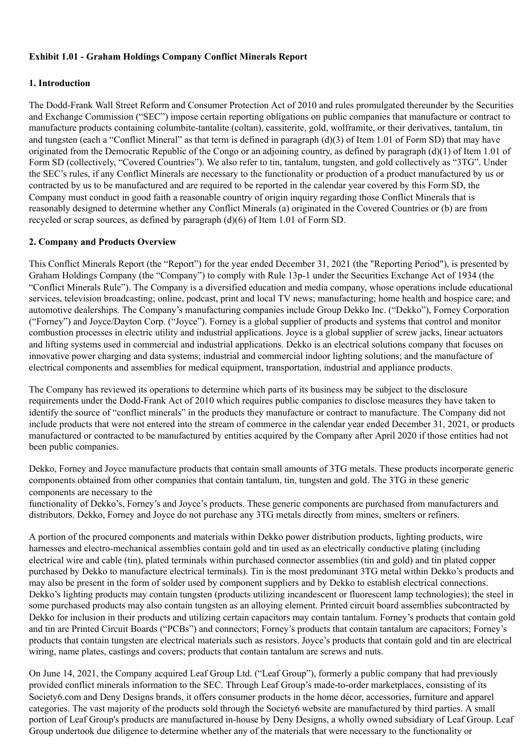### **Exhibit 1.01 - Graham Holdings Company Conflict Minerals Report**

### **1. Introduction**

The Dodd-Frank Wall Street Reform and Consumer Protection Act of 2010 and rules promulgated thereunder by the Securities and Exchange Commission ("SEC") impose certain reporting obligations on public companies that manufacture or contract to manufacture products containing columbite-tantalite (coltan), cassiterite, gold, wolframite, or their derivatives, tantalum, tin and tungsten (each a "Conflict Mineral" as that term is defined in paragraph  $(d)(3)$  of Item 1.01 of Form SD) that may have originated from the Democratic Republic of the Congo or an adjoining country, as defined by paragraph (d)(1) of Item 1.01 of Form SD (collectively, "Covered Countries"). We also refer to tin, tantalum, tungsten, and gold collectively as "3TG". Under the SEC's rules, if any Conflict Minerals are necessary to the functionality or production of a product manufactured by us or contracted by us to be manufactured and are required to be reported in the calendar year covered by this Form SD, the Company must conduct in good faith a reasonable country of origin inquiry regarding those Conflict Minerals that is reasonably designed to determine whether any Conflict Minerals (a) originated in the Covered Countries or (b) are from recycled or scrap sources, as defined by paragraph (d)(6) of Item 1.01 of Form SD.

### **2. Company and Products Overview**

This Conflict Minerals Report (the "Report") for the year ended December 31, 2021 (the "Reporting Period"), is presented by Graham Holdings Company (the "Company") to comply with Rule 13p-1 under the Securities Exchange Act of 1934 (the "Conflict Minerals Rule"). The Company is a diversified education and media company, whose operations include educational services, television broadcasting; online, podcast, print and local TV news; manufacturing; home health and hospice care; and automotive dealerships. The Company's manufacturing companies include Group Dekko Inc. ("Dekko"), Forney Corporation ("Forney") and Joyce/Dayton Corp. ("Joyce"). Forney is a global supplier of products and systems that control and monitor combustion processes in electric utility and industrial applications. Joyce is a global supplier of screw jacks, linear actuators and lifting systems used in commercial and industrial applications. Dekko is an electrical solutions company that focuses on innovative power charging and data systems; industrial and commercial indoor lighting solutions; and the manufacture of electrical components and assemblies for medical equipment, transportation, industrial and appliance products.

The Company has reviewed its operations to determine which parts of its business may be subject to the disclosure requirements under the Dodd-Frank Act of 2010 which requires public companies to disclose measures they have taken to identify the source of "conflict minerals" in the products they manufacture or contract to manufacture. The Company did not include products that were not entered into the stream of commerce in the calendar year ended December 31, 2021, or products manufactured or contracted to be manufactured by entities acquired by the Company after April 2020 if those entities had not been public companies.

Dekko, Forney and Joyce manufacture products that contain small amounts of 3TG metals. These products incorporate generic components obtained from other companies that contain tantalum, tin, tungsten and gold. The 3TG in these generic components are necessary to the

functionality of Dekko's, Forney's and Joyce's products. These generic components are purchased from manufacturers and distributors. Dekko, Forney and Joyce do not purchase any 3TG metals directly from mines, smelters or refiners.

A portion of the procured components and materials within Dekko power distribution products, lighting products, wire harnesses and electro-mechanical assemblies contain gold and tin used as an electrically conductive plating (including electrical wire and cable (tin), plated terminals within purchased connector assemblies (tin and gold) and tin plated copper purchased by Dekko to manufacture electrical terminals). Tin is the most predominant 3TG metal within Dekko's products and may also be present in the form of solder used by component suppliers and by Dekko to establish electrical connections. Dekko's lighting products may contain tungsten (products utilizing incandescent or fluorescent lamp technologies); the steel in some purchased products may also contain tungsten as an alloying element. Printed circuit board assemblies subcontracted by Dekko for inclusion in their products and utilizing certain capacitors may contain tantalum. Forney's products that contain gold and tin are Printed Circuit Boards ("PCBs") and connectors; Forney's products that contain tantalum are capacitors; Forney's products that contain tungsten are electrical materials such as resistors. Joyce's products that contain gold and tin are electrical wiring, name plates, castings and covers; products that contain tantalum are screws and nuts.

On June 14, 2021, the Company acquired Leaf Group Ltd. ("Leaf Group"), formerly a public company that had previously provided conflict minerals information to the SEC. Through Leaf Group's made-to-order marketplaces, consisting of its Society6.com and Deny Designs brands, it offers consumer products in the home décor, accessories, furniture and apparel categories. The vast majority of the products sold through the Society6 website are manufactured by third parties. A small portion of Leaf Group's products are manufactured in-house by Deny Designs, a wholly owned subsidiary of Leaf Group. Leaf Group undertook due diligence to determine whether any of the materials that were necessary to the functionality or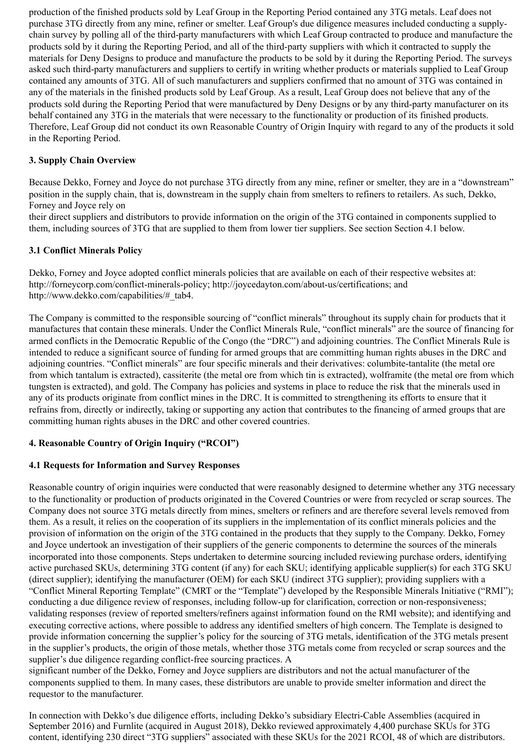production of the finished products sold by Leaf Group in the Reporting Period contained any 3TG metals. Leaf does not purchase 3TG directly from any mine, refiner or smelter. Leaf Group's due diligence measures included conducting a supplychain survey by polling all of the third-party manufacturers with which Leaf Group contracted to produce and manufacture the products sold by it during the Reporting Period, and all of the third-party suppliers with which it contracted to supply the materials for Deny Designs to produce and manufacture the products to be sold by it during the Reporting Period. The surveys asked such third-party manufacturers and suppliers to certify in writing whether products or materials supplied to Leaf Group contained any amounts of 3TG. All of such manufacturers and suppliers confirmed that no amount of 3TG was contained in any of the materials in the finished products sold by Leaf Group. As a result, Leaf Group does not believe that any of the products sold during the Reporting Period that were manufactured by Deny Designs or by any third-party manufacturer on its behalf contained any 3TG in the materials that were necessary to the functionality or production of its finished products. Therefore, Leaf Group did not conduct its own Reasonable Country of Origin Inquiry with regard to any of the products it sold in the Reporting Period.

### **3. Supply Chain Overview**

Because Dekko, Forney and Joyce do not purchase 3TG directly from any mine, refiner or smelter, they are in a "downstream" position in the supply chain, that is, downstream in the supply chain from smelters to refiners to retailers. As such, Dekko, Forney and Joyce rely on

their direct suppliers and distributors to provide information on the origin of the 3TG contained in components supplied to them, including sources of 3TG that are supplied to them from lower tier suppliers. See section Section 4.1 below.

### **3.1 Conflict Minerals Policy**

Dekko, Forney and Joyce adopted conflict minerals policies that are available on each of their respective websites at: http://forneycorp.com/conflict-minerals-policy; http://joycedayton.com/about-us/certifications; and http://www.dekko.com/capabilities/#\_tab4.

The Company is committed to the responsible sourcing of "conflict minerals" throughout its supply chain for products that it manufactures that contain these minerals. Under the Conflict Minerals Rule, "conflict minerals" are the source of financing for armed conflicts in the Democratic Republic of the Congo (the "DRC") and adjoining countries. The Conflict Minerals Rule is intended to reduce a significant source of funding for armed groups that are committing human rights abuses in the DRC and adjoining countries. "Conflict minerals" are four specific minerals and their derivatives: columbite-tantalite (the metal ore from which tantalum is extracted), cassiterite (the metal ore from which tin is extracted), wolframite (the metal ore from which tungsten is extracted), and gold. The Company has policies and systems in place to reduce the risk that the minerals used in any of its products originate from conflict mines in the DRC. It is committed to strengthening its efforts to ensure that it refrains from, directly or indirectly, taking or supporting any action that contributes to the financing of armed groups that are committing human rights abuses in the DRC and other covered countries.

## **4. Reasonable Country of Origin Inquiry ("RCOI")**

### **4.1 Requests for Information and Survey Responses**

Reasonable country of origin inquiries were conducted that were reasonably designed to determine whether any 3TG necessary to the functionality or production of products originated in the Covered Countries or were from recycled or scrap sources. The Company does not source 3TG metals directly from mines, smelters or refiners and are therefore several levels removed from them. As a result, it relies on the cooperation of its suppliers in the implementation of its conflict minerals policies and the provision of information on the origin of the 3TG contained in the products that they supply to the Company. Dekko, Forney and Joyce undertook an investigation of their suppliers of the generic components to determine the sources of the minerals incorporated into those components. Steps undertaken to determine sourcing included reviewing purchase orders, identifying active purchased SKUs, determining 3TG content (if any) for each SKU; identifying applicable supplier(s) for each 3TG SKU (direct supplier); identifying the manufacturer (OEM) for each SKU (indirect 3TG supplier); providing suppliers with a "Conflict Mineral Reporting Template" (CMRT or the "Template") developed by the Responsible Minerals Initiative ("RMI"); conducting a due diligence review of responses, including follow-up for clarification, correction or non-responsiveness; validating responses (review of reported smelters/refiners against information found on the RMI website); and identifying and executing corrective actions, where possible to address any identified smelters of high concern. The Template is designed to provide information concerning the supplier's policy for the sourcing of 3TG metals, identification of the 3TG metals present in the supplier's products, the origin of those metals, whether those 3TG metals come from recycled or scrap sources and the supplier's due diligence regarding conflict-free sourcing practices. A

significant number of the Dekko, Forney and Joyce suppliers are distributors and not the actual manufacturer of the components supplied to them. In many cases, these distributors are unable to provide smelter information and direct the requestor to the manufacturer.

In connection with Dekko's due diligence efforts, including Dekko's subsidiary Electri-Cable Assemblies (acquired in September 2016) and Furnlite (acquired in August 2018), Dekko reviewed approximately 4,400 purchase SKUs for 3TG content, identifying 230 direct "3TG suppliers" associated with these SKUs for the 2021 RCOI, 48 of which are distributors.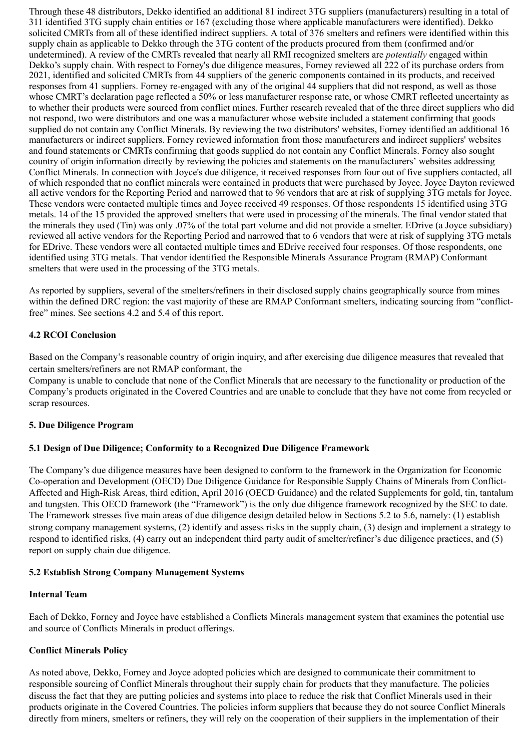Through these 48 distributors, Dekko identified an additional 81 indirect 3TG suppliers (manufacturers) resulting in a total of 311 identified 3TG supply chain entities or 167 (excluding those where applicable manufacturers were identified). Dekko solicited CMRTs from all of these identified indirect suppliers. A total of 376 smelters and refiners were identified within this supply chain as applicable to Dekko through the 3TG content of the products procured from them (confirmed and/or undetermined). A review of the CMRTs revealed that nearly all RMI recognized smelters are *potentially* engaged within Dekko's supply chain. With respect to Forney's due diligence measures, Forney reviewed all 222 of its purchase orders from 2021, identified and solicited CMRTs from 44 suppliers of the generic components contained in its products, and received responses from 41 suppliers. Forney re-engaged with any of the original 44 suppliers that did not respond, as well as those whose CMRT's declaration page reflected a 50% or less manufacturer response rate, or whose CMRT reflected uncertainty as to whether their products were sourced from conflict mines. Further research revealed that of the three direct suppliers who did not respond, two were distributors and one was a manufacturer whose website included a statement confirming that goods supplied do not contain any Conflict Minerals. By reviewing the two distributors' websites, Forney identified an additional 16 manufacturers or indirect suppliers. Forney reviewed information from those manufacturers and indirect suppliers' websites and found statements or CMRTs confirming that goods supplied do not contain any Conflict Minerals. Forney also sought country of origin information directly by reviewing the policies and statements on the manufacturers' websites addressing Conflict Minerals. In connection with Joyce's due diligence, it received responses from four out of five suppliers contacted, all of which responded that no conflict minerals were contained in products that were purchased by Joyce. Joyce Dayton reviewed all active vendors for the Reporting Period and narrowed that to 96 vendors that are at risk of supplying 3TG metals for Joyce. These vendors were contacted multiple times and Joyce received 49 responses. Of those respondents 15 identified using 3TG metals. 14 of the 15 provided the approved smelters that were used in processing of the minerals. The final vendor stated that the minerals they used (Tin) was only .07% of the total part volume and did not provide a smelter. EDrive (a Joyce subsidiary) reviewed all active vendors for the Reporting Period and narrowed that to 6 vendors that were at risk of supplying 3TG metals for EDrive. These vendors were all contacted multiple times and EDrive received four responses. Of those respondents, one identified using 3TG metals. That vendor identified the Responsible Minerals Assurance Program (RMAP) Conformant smelters that were used in the processing of the 3TG metals.

As reported by suppliers, several of the smelters/refiners in their disclosed supply chains geographically source from mines within the defined DRC region: the vast majority of these are RMAP Conformant smelters, indicating sourcing from "conflictfree" mines. See sections 4.2 and 5.4 of this report.

### **4.2 RCOI Conclusion**

Based on the Company's reasonable country of origin inquiry, and after exercising due diligence measures that revealed that certain smelters/refiners are not RMAP conformant, the

Company is unable to conclude that none of the Conflict Minerals that are necessary to the functionality or production of the Company's products originated in the Covered Countries and are unable to conclude that they have not come from recycled or scrap resources.

### **5. Due Diligence Program**

### **5.1 Design of Due Diligence; Conformity to a Recognized Due Diligence Framework**

The Company's due diligence measures have been designed to conform to the framework in the Organization for Economic Co-operation and Development (OECD) Due Diligence Guidance for Responsible Supply Chains of Minerals from Conflict-Affected and High-Risk Areas, third edition, April 2016 (OECD Guidance) and the related Supplements for gold, tin, tantalum and tungsten. This OECD framework (the "Framework") is the only due diligence framework recognized by the SEC to date. The Framework stresses five main areas of due diligence design detailed below in Sections 5.2 to 5.6, namely: (1) establish strong company management systems, (2) identify and assess risks in the supply chain, (3) design and implement a strategy to respond to identified risks, (4) carry out an independent third party audit of smelter/refiner's due diligence practices, and (5) report on supply chain due diligence.

#### **5.2 Establish Strong Company Management Systems**

#### **Internal Team**

Each of Dekko, Forney and Joyce have established a Conflicts Minerals management system that examines the potential use and source of Conflicts Minerals in product offerings.

### **Conflict Minerals Policy**

As noted above, Dekko, Forney and Joyce adopted policies which are designed to communicate their commitment to responsible sourcing of Conflict Minerals throughout their supply chain for products that they manufacture. The policies discuss the fact that they are putting policies and systems into place to reduce the risk that Conflict Minerals used in their products originate in the Covered Countries. The policies inform suppliers that because they do not source Conflict Minerals directly from miners, smelters or refiners, they will rely on the cooperation of their suppliers in the implementation of their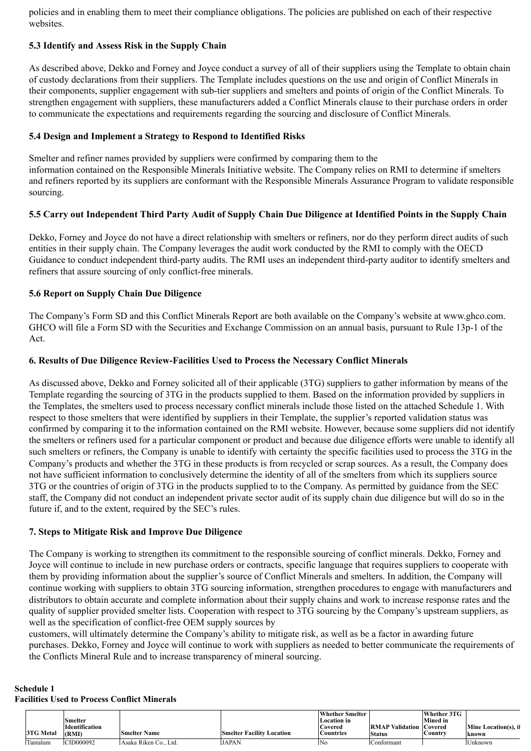policies and in enabling them to meet their compliance obligations. The policies are published on each of their respective websites.

### **5.3 Identify and Assess Risk in the Supply Chain**

As described above, Dekko and Forney and Joyce conduct a survey of all of their suppliers using the Template to obtain chain of custody declarations from their suppliers. The Template includes questions on the use and origin of Conflict Minerals in their components, supplier engagement with sub-tier suppliers and smelters and points of origin of the Conflict Minerals. To strengthen engagement with suppliers, these manufacturers added a Conflict Minerals clause to their purchase orders in order to communicate the expectations and requirements regarding the sourcing and disclosure of Conflict Minerals.

### **5.4 Design and Implement a Strategy to Respond to Identified Risks**

Smelter and refiner names provided by suppliers were confirmed by comparing them to the information contained on the Responsible Minerals Initiative website. The Company relies on RMI to determine if smelters and refiners reported by its suppliers are conformant with the Responsible Minerals Assurance Program to validate responsible sourcing.

### **5.5 Carry out Independent Third Party Audit of Supply Chain Due Diligence at Identified Points in the Supply Chain**

Dekko, Forney and Joyce do not have a direct relationship with smelters or refiners, nor do they perform direct audits of such entities in their supply chain. The Company leverages the audit work conducted by the RMI to comply with the OECD Guidance to conduct independent third-party audits. The RMI uses an independent third-party auditor to identify smelters and refiners that assure sourcing of only conflict-free minerals.

### **5.6 Report on Supply Chain Due Diligence**

The Company's Form SD and this Conflict Minerals Report are both available on the Company's website at www.ghco.com. GHCO will file a Form SD with the Securities and Exchange Commission on an annual basis, pursuant to Rule 13p-1 of the Act.

### **6. Results of Due Diligence Review-Facilities Used to Process the Necessary Conflict Minerals**

As discussed above, Dekko and Forney solicited all of their applicable (3TG) suppliers to gather information by means of the Template regarding the sourcing of 3TG in the products supplied to them. Based on the information provided by suppliers in the Templates, the smelters used to process necessary conflict minerals include those listed on the attached Schedule 1. With respect to those smelters that were identified by suppliers in their Template, the supplier's reported validation status was confirmed by comparing it to the information contained on the RMI website. However, because some suppliers did not identify the smelters or refiners used for a particular component or product and because due diligence efforts were unable to identify all such smelters or refiners, the Company is unable to identify with certainty the specific facilities used to process the 3TG in the Company's products and whether the 3TG in these products is from recycled or scrap sources. As a result, the Company does not have sufficient information to conclusively determine the identity of all of the smelters from which its suppliers source 3TG or the countries of origin of 3TG in the products supplied to to the Company. As permitted by guidance from the SEC staff, the Company did not conduct an independent private sector audit of its supply chain due diligence but will do so in the future if, and to the extent, required by the SEC's rules.

### **7. Steps to Mitigate Risk and Improve Due Diligence**

The Company is working to strengthen its commitment to the responsible sourcing of conflict minerals. Dekko, Forney and Joyce will continue to include in new purchase orders or contracts, specific language that requires suppliers to cooperate with them by providing information about the supplier's source of Conflict Minerals and smelters. In addition, the Company will continue working with suppliers to obtain 3TG sourcing information, strengthen procedures to engage with manufacturers and distributors to obtain accurate and complete information about their supply chains and work to increase response rates and the quality of supplier provided smelter lists. Cooperation with respect to 3TG sourcing by the Company's upstream suppliers, as well as the specification of conflict-free OEM supply sources by

customers, will ultimately determine the Company's ability to mitigate risk, as well as be a factor in awarding future purchases. Dekko, Forney and Joyce will continue to work with suppliers as needed to better communicate the requirements of the Conflicts Mineral Rule and to increase transparency of mineral sourcing.

#### **Schedule 1 Facilities Used to Process Conflict Minerals**

| <b>3TG Metal</b> | Smelter<br>Identification<br>(RMI) | <b>Smelter Name</b>  | <b>Smelter Facility Location</b> | Whether Smelter<br><b>Location</b> in<br>Covered<br>Countries | <b>RMAP Validation Covered</b><br><b>Status</b> | Whether 3TG<br><b>Mined in</b><br>Country | Mine Location(s), if<br>known |
|------------------|------------------------------------|----------------------|----------------------------------|---------------------------------------------------------------|-------------------------------------------------|-------------------------------------------|-------------------------------|
| Tantalum         | CID000092                          | Asaka Riken Co. Ltd. | <b>JAPAN</b>                     | 'No                                                           | Conformant                                      |                                           | Unknown                       |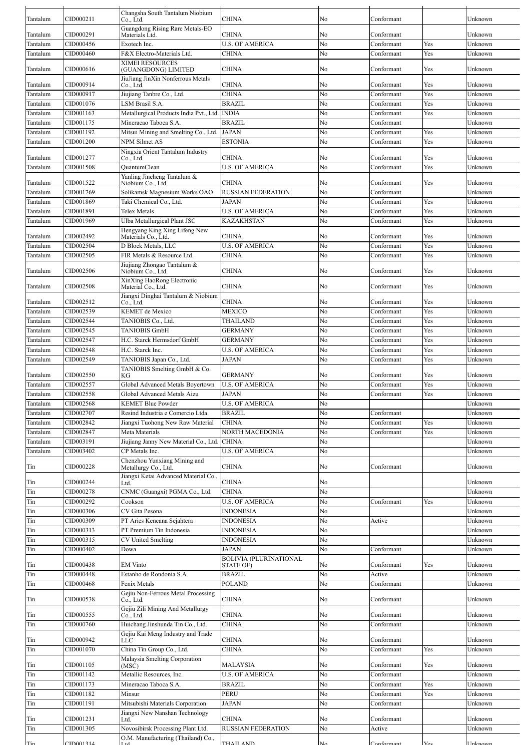| Tantalum | CID000211 | Changsha South Tantalum Niobium<br>Co., Ltd.                            | <b>CHINA</b>                  | No       | Conformant |     | Unknown            |
|----------|-----------|-------------------------------------------------------------------------|-------------------------------|----------|------------|-----|--------------------|
|          |           | Guangdong Rising Rare Metals-EO                                         |                               |          |            |     |                    |
| Tantalum | CID000291 | Materials Ltd.                                                          | <b>CHINA</b>                  | No       | Conformant |     | Unknown            |
| Tantalum | CID000456 | Exotech Inc.                                                            | <b>U.S. OF AMERICA</b>        | No       | Conformant | Yes | Unknown            |
| Tantalum | CID000460 | F&X Electro-Materials Ltd.                                              | <b>CHINA</b>                  | No       | Conformant | Yes | Unknown            |
|          |           | <b>XIMEI RESOURCES</b>                                                  |                               |          |            |     |                    |
| Tantalum | CID000616 | (GUANGDONG) LIMITED                                                     | <b>CHINA</b>                  | No       | Conformant | Yes | Unknown            |
| Tantalum | CID000914 | JiuJiang JinXin Nonferrous Metals<br>Co., Ltd.                          | <b>CHINA</b>                  | No       | Conformant | Yes | Unknown            |
| Tantalum | CID000917 | Jiujiang Tanbre Co., Ltd.                                               | <b>CHINA</b>                  | No       | Conformant | Yes | Unknown            |
| Tantalum | CID001076 | <b>LSM Brasil S.A.</b>                                                  | <b>BRAZIL</b>                 | No       | Conformant | Yes | Unknown            |
| Tantalum | CID001163 | Metallurgical Products India Pvt., Ltd.                                 | <b>INDIA</b>                  | No       | Conformant | Yes | Unknown            |
| Tantalum | CID001175 | Mineracao Taboca S.A.                                                   | <b>BRAZIL</b>                 | No       | Conformant |     | Unknown            |
| Tantalum | CID001192 | Mitsui Mining and Smelting Co., Ltd.                                    | <b>JAPAN</b>                  | No       | Conformant | Yes | Unknown            |
| Tantalum | CID001200 | <b>NPM Silmet AS</b>                                                    | ESTONIA                       | No       | Conformant | Yes | Unknown            |
|          |           | Ningxia Orient Tantalum Industry                                        |                               |          |            |     |                    |
| Tantalum | CID001277 | Co., Ltd.                                                               | CHINA                         | No       | Conformant | Yes | Unknown            |
| Tantalum | CID001508 | <b>QuantumClean</b>                                                     | <b>U.S. OF AMERICA</b>        | No       | Conformant | Yes | Unknown            |
|          |           | Yanling Jincheng Tantalum &                                             |                               |          |            |     |                    |
| Tantalum | CID001522 | Niobium Co., Ltd.                                                       | CHINA                         | No       | Conformant | Yes | Unknown            |
| Tantalum | CID001769 | Solikamsk Magnesium Works OAO                                           | <b>RUSSIAN FEDERATION</b>     | No       | Conformant |     | Unknown            |
| Tantalum | CID001869 | Taki Chemical Co., Ltd.                                                 | <b>JAPAN</b>                  | No       | Conformant | Yes | Unknown            |
| Tantalum | CID001891 | Telex Metals                                                            | <b>U.S. OF AMERICA</b>        | No       | Conformant | Yes | Unknown            |
| Tantalum | CID001969 | Ulba Metallurgical Plant JSC                                            | KAZAKHSTAN                    | No       | Conformant | Yes | Unknown            |
| Tantalum | CID002492 | Hengyang King Xing Lifeng New<br>Materials Co., Ltd.                    | CHINA                         | No       | Conformant | Yes | Unknown            |
| Tantalum | CID002504 | D Block Metals, LLC                                                     | <b>U.S. OF AMERICA</b>        | No       | Conformant | Yes | Unknown            |
| Tantalum | CID002505 | FIR Metals & Resource Ltd.                                              | <b>CHINA</b>                  | No       | Conformant | Yes | Unknown            |
|          |           | Jiujiang Zhongao Tantalum &                                             |                               |          |            |     |                    |
| Tantalum | CID002506 | Niobium Co., Ltd.                                                       | CHINA                         | No       | Conformant | Yes | Unknown            |
|          | CID002508 | XinXing HaoRong Electronic                                              |                               |          |            |     |                    |
| Tantalum |           | Material Co., Ltd.                                                      | CHINA                         | No       | Conformant | Yes | Unknown            |
| Tantalum | CID002512 | Jiangxi Dinghai Tantalum & Niobium<br>Co., Ltd.                         | CHINA                         | No       | Conformant | Yes | Unknown            |
| Tantalum | CID002539 | <b>KEMET</b> de Mexico                                                  | MEXICO                        | No       | Conformant | Yes | Unknown            |
| Tantalum | CID002544 | TANIOBIS Co., Ltd.                                                      | THAILAND                      | No       | Conformant | Yes | Unknown            |
| Tantalum | CID002545 | <b>TANIOBIS GmbH</b>                                                    | <b>GERMANY</b>                | No       | Conformant | Yes | Unknown            |
| Tantalum | CID002547 | H.C. Starck Hermsdorf GmbH                                              | <b>GERMANY</b>                | No       | Conformant | Yes | Unknown            |
|          |           |                                                                         |                               |          |            |     |                    |
| Tantalum | CID002548 | H.C. Starck Inc.                                                        | <b>U.S. OF AMERICA</b>        | No       | Conformant | Yes | Unknown<br>Unknown |
|          |           |                                                                         |                               |          |            |     |                    |
| Tantalum | CID002549 | TANIOBIS Japan Co., Ltd.                                                | <b>JAPAN</b>                  | No       | Conformant | Yes |                    |
| Tantalum | CID002550 | TANIOBIS Smelting GmbH & Co.                                            | <b>GERMANY</b>                | No       | Conformant | Yes | Unknown            |
|          |           | KG                                                                      |                               |          |            |     |                    |
| Tantalum | CID002557 | Global Advanced Metals Boyertown                                        | <b>U.S. OF AMERICA</b>        | No       | Conformant | Yes | Unknown            |
| Tantalum | CID002558 | Global Advanced Metals Aizu                                             | JAPAN                         | No       | Conformant | Yes | Unknown            |
| Tantalum | CID002568 | <b>KEMET Blue Powder</b>                                                | <b>U.S. OF AMERICA</b>        | No       |            |     | Unknown            |
| Tantalum | CID002707 | Resind Industria e Comercio Ltda.                                       | <b>BRAZIL</b>                 | No       | Conformant |     | Unknown            |
| Tantalum | CID002842 | Jiangxi Tuohong New Raw Material                                        | <b>CHINA</b>                  | No       | Conformant | Yes | Unknown            |
| Tantalum | CID002847 | Meta Materials                                                          | <b>NORTH MACEDONIA</b>        | No       | Conformant | Yes | Unknown            |
| Tantalum | CID003191 | Jiujiang Janny New Material Co., Ltd.                                   | <b>CHINA</b>                  | No       |            |     | Unknown            |
| Tantalum | CID003402 | CP Metals Inc.                                                          | <b>U.S. OF AMERICA</b>        | No       |            |     | Unknown            |
|          | CID000228 | Chenzhou Yunxiang Mining and                                            |                               |          | Conformant |     | Unknown            |
| Tin      |           | Metallurgy Co., Ltd.                                                    | <b>CHINA</b>                  | No       |            |     |                    |
| Tin      | CID000244 | Jiangxi Ketai Advanced Material Co.,<br>Ltd.                            | CHINA                         | No       |            |     | Unknown            |
| Tin      | CID000278 | CNMC (Guangxi) PGMA Co., Ltd.                                           | <b>CHINA</b>                  | No       |            |     | Unknown            |
| Tin      | CID000292 | Cookson                                                                 | <b>U.S. OF AMERICA</b>        | No       | Conformant | Yes | Unknown            |
| Tin      | CID000306 | CV Gita Pesona                                                          | <b>INDONESIA</b>              | No       |            |     | Unknown            |
| Tin      | CID000309 | PT Aries Kencana Sejahtera                                              | <b>INDONESIA</b>              | No       | Active     |     | Unknown            |
| Tin      | CID000313 | PT Premium Tin Indonesia                                                | <b>INDONESIA</b>              | No       |            |     | Unknown            |
| Tin      | CID000315 | <b>CV United Smelting</b>                                               | <b>INDONESIA</b>              | No       |            |     | Unknown            |
| Tin      | CID000402 | Dowa                                                                    | <b>JAPAN</b>                  | No       | Conformant |     | Unknown            |
|          |           |                                                                         | <b>BOLIVIA (PLURINATIONAL</b> |          |            |     |                    |
| Tin      | CID000438 | <b>EM Vinto</b>                                                         | <b>STATE OF</b>               | No       | Conformant | Yes | Unknown            |
| Tin      | CID000448 | Estanho de Rondonia S.A.                                                | <b>BRAZIL</b>                 | No       | Active     |     | Unknown            |
| Tin      | CID000468 | Fenix Metals                                                            | <b>POLAND</b>                 | No       | Conformant |     | Unknown            |
|          |           | Gejiu Non-Ferrous Metal Processing                                      |                               |          |            |     |                    |
| Tin      | CID000538 | Co., Ltd.                                                               | CHINA                         | No       | Conformant |     | Unknown            |
| Tin      | CID000555 | Gejiu Zili Mining And Metallurgy<br>Co., Ltd.                           | <b>CHINA</b>                  | $\rm No$ | Conformant |     | Unknown            |
| Tin      | CID000760 | Huichang Jinshunda Tin Co., Ltd.                                        | <b>CHINA</b>                  | No       | Conformant |     | Unknown            |
|          |           | Gejiu Kai Meng Industry and Trade                                       |                               |          |            |     |                    |
| Tin      | CID000942 | <b>LLC</b>                                                              | <b>CHINA</b>                  | No       | Conformant |     | Unknown            |
| Tin      | CID001070 | China Tin Group Co., Ltd.                                               | <b>CHINA</b>                  | No       | Conformant | Yes | Unknown            |
|          |           | Malaysia Smelting Corporation                                           |                               |          |            |     |                    |
| Tin      | CID001105 | (MSC)                                                                   | MALAYSIA                      | No       | Conformant | Yes | Unknown            |
| Tin      | CID001142 | Metallic Resources, Inc.                                                | <b>U.S. OF AMERICA</b>        | No       | Conformant |     | Unknown            |
| Tin      | CID001173 | Mineracao Taboca S.A.                                                   | <b>BRAZIL</b>                 | No       | Conformant | Yes | Unknown            |
| Tin      | CID001182 | Minsur                                                                  | PERU                          | No       | Conformant | Yes | Unknown            |
| Tin      | CID001191 | Mitsubishi Materials Corporation                                        | <b>JAPAN</b>                  | No       | Conformant |     | Unknown            |
|          |           | Jiangxi New Nanshan Technology                                          |                               |          |            |     |                    |
| Tin      | CID001231 | Ltd.                                                                    | <b>CHINA</b>                  | No       | Conformant |     | Unknown            |
| Tin      | CID001305 | Novosibirsk Processing Plant Ltd.<br>O.M. Manufacturing (Thailand) Co., | <b>RUSSIAN FEDERATION</b>     | No       | Active     |     | Unknown            |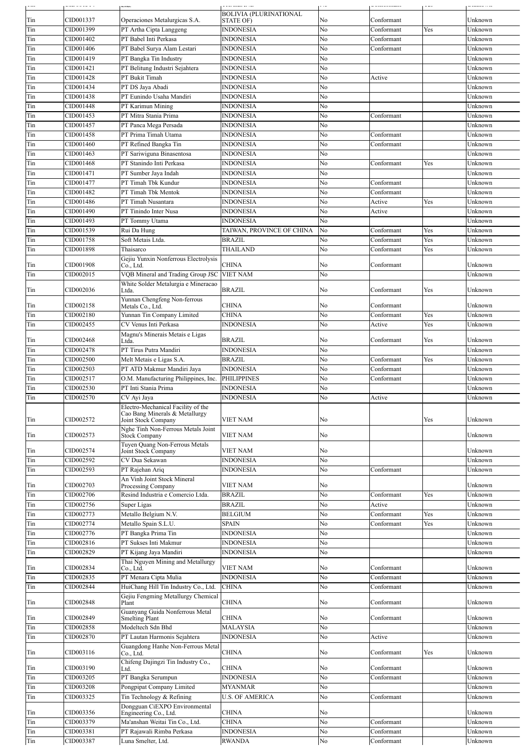|     | .         | Lw.                                                      | جدواند بمديد بدلان            |    | ------------- |     | ندارا بالمتحمدت |
|-----|-----------|----------------------------------------------------------|-------------------------------|----|---------------|-----|-----------------|
|     | CID001337 |                                                          | <b>BOLIVIA (PLURINATIONAL</b> |    |               |     |                 |
| Tin |           | Operaciones Metalurgicas S.A.                            | STATE OF)                     | No | Conformant    |     | Unknown         |
| Tin | CID001399 | PT Artha Cipta Langgeng                                  | <b>INDONESIA</b>              | No | Conformant    | Yes | Unknown         |
| Tin | CID001402 | PT Babel Inti Perkasa                                    | <b>INDONESIA</b>              | No | Conformant    |     | Unknown         |
| Tin | CID001406 | PT Babel Surya Alam Lestari                              | <b>INDONESIA</b>              | No | Conformant    |     | Unknown         |
| Tin | CID001419 | PT Bangka Tin Industry                                   | <b>INDONESIA</b>              | No |               |     | Unknown         |
| Tin | CID001421 | PT Belitung Industri Sejahtera                           | <b>INDONESIA</b>              | No |               |     | Unknown         |
| Tin | CID001428 | PT Bukit Timah                                           | <b>INDONESIA</b>              | No | Active        |     | Unknown         |
| Tin | CID001434 | PT DS Jaya Abadi                                         | <b>INDONESIA</b>              | No |               |     | Unknown         |
| Tin | CID001438 | PT Eunindo Usaha Mandiri                                 | <b>INDONESIA</b>              | No |               |     | Unknown         |
| Tin | CID001448 | PT Karimun Mining                                        | <b>INDONESIA</b>              | No |               |     | Unknown         |
|     |           |                                                          |                               |    |               |     | Unknown         |
| Tin | CID001453 | PT Mitra Stania Prima                                    | <b>INDONESIA</b>              | No | Conformant    |     |                 |
| Tin | CID001457 | PT Panca Mega Persada                                    | <b>INDONESIA</b>              | No |               |     | Unknown         |
| Tin | CID001458 | PT Prima Timah Utama                                     | <b>INDONESIA</b>              | No | Conformant    |     | Unknown         |
| Tin | CID001460 | PT Refined Bangka Tin                                    | <b>INDONESIA</b>              | No | Conformant    |     | Unknown         |
| Tin | CID001463 | PT Sariwiguna Binasentosa                                | <b>INDONESIA</b>              | No |               |     | Unknown         |
| Tin | CID001468 | PT Stanindo Inti Perkasa                                 | <b>INDONESIA</b>              | No | Conformant    | Yes | Unknown         |
| Tin | CID001471 | PT Sumber Jaya Indah                                     | <b>INDONESIA</b>              | No |               |     | Unknown         |
| Tin | CID001477 | PT Timah Tbk Kundur                                      | <b>INDONESIA</b>              | No | Conformant    |     | Unknown         |
| Tin | CID001482 | PT Timah Tbk Mentok                                      | <b>INDONESIA</b>              | No | Conformant    |     | Unknown         |
| Tin | CID001486 | PT Timah Nusantara                                       | <b>INDONESIA</b>              | No | Active        | Yes | Unknown         |
| Tin | CID001490 | PT Tinindo Inter Nusa                                    | <b>INDONESIA</b>              | No | Active        |     | Unknown         |
|     |           |                                                          |                               |    |               |     |                 |
| Tin | CID001493 | PT Tommy Utama                                           | <b>INDONESIA</b>              | No |               |     | Unknown         |
| Tin | CID001539 | Rui Da Hung                                              | TAIWAN, PROVINCE OF CHINA     | No | Conformant    | Yes | Unknown         |
| Tin | CID001758 | Soft Metais Ltda.                                        | <b>BRAZIL</b>                 | No | Conformant    | Yes | Unknown         |
| Tin | CID001898 | Thaisarco                                                | THAILAND                      | No | Conformant    | Yes | Unknown         |
|     |           | Gejiu Yunxin Nonferrous Electrolysis                     |                               |    |               |     |                 |
| Tin | CID001908 | Co., Ltd.                                                | CHINA                         | No | Conformant    |     | Unknown         |
| Tin | CID002015 | VQB Mineral and Trading Group JSC                        | VIET NAM                      | No |               |     | Unknown         |
|     |           | White Solder Metalurgia e Mineracao                      |                               |    |               |     |                 |
| Tin | CID002036 | Ltda.                                                    | <b>BRAZIL</b>                 | No | Conformant    | Yes | Unknown         |
| Tin | CID002158 | Yunnan Chengfeng Non-ferrous<br>Metals Co., Ltd.         | CHINA                         | No | Conformant    |     | Unknown         |
|     | CID002180 | Yunnan Tin Company Limited                               | <b>CHINA</b>                  | No | Conformant    | Yes | Unknown         |
| Tin |           |                                                          |                               |    |               |     |                 |
| Tin | CID002455 | CV Venus Inti Perkasa                                    | <b>INDONESIA</b>              | No | Active        | Yes | Unknown         |
| Tin | CID002468 | Magnu's Minerais Metais e Ligas<br>Ltda.                 | BRAZIL                        | No | Conformant    | Yes | Unknown         |
| Tin | CID002478 | PT Tirus Putra Mandiri                                   | <b>INDONESIA</b>              | No |               |     | Unknown         |
|     |           | Melt Metais e Ligas S.A.                                 | <b>BRAZIL</b>                 |    |               |     | Unknown         |
| Tin | CID002500 |                                                          |                               | No | Conformant    | Yes |                 |
| Tin | CID002503 | PT ATD Makmur Mandiri Jaya                               | <b>INDONESIA</b>              | No | Conformant    |     | Unknown         |
| Tin | CID002517 | O.M. Manufacturing Philippines, Inc.                     | <b>PHILIPPINES</b>            | No | Conformant    |     | Unknown         |
| Tin | CID002530 | PT Inti Stania Prima                                     | <b>INDONESIA</b>              | No |               |     | Unknown         |
| Tin | CID002570 | CV Ayi Jaya                                              | <b>INDONESIA</b>              | No | Active        |     | Unknown         |
|     |           | Electro-Mechanical Facility of the                       |                               |    |               |     |                 |
| Tin | CID002572 | Cao Bang Minerals & Metallurgy<br>Joint Stock Company    | VIET NAM                      | No |               | Yes | Unknown         |
|     |           | Nghe Tinh Non-Ferrous Metals Joint                       |                               |    |               |     |                 |
| Tin | CID002573 | <b>Stock Company</b>                                     | <b>VIET NAM</b>               | No |               |     | Unknown         |
|     |           | Tuyen Quang Non-Ferrous Metals                           |                               |    |               |     |                 |
| Tin | CID002574 | Joint Stock Company                                      | VIET NAM                      | No |               |     | Unknown         |
| Tin | CID002592 | CV Dua Sekawan                                           | <b>INDONESIA</b>              | No |               |     | Unknown         |
| Tin | CID002593 | PT Rajehan Ariq                                          | <b>INDONESIA</b>              | No | Conformant    |     | Unknown         |
|     |           | An Vinh Joint Stock Mineral                              |                               |    |               |     |                 |
| Tin | CID002703 | <b>Processing Company</b>                                | VIET NAM                      | No |               |     | Unknown         |
| Tin | CID002706 | Resind Industria e Comercio Ltda.                        | <b>BRAZIL</b>                 | No | Conformant    | Yes | Unknown         |
| Tin | CID002756 | Super Ligas                                              | <b>BRAZIL</b>                 | No | Active        |     | Unknown         |
| Tin | CID002773 | Metallo Belgium N.V.                                     | <b>BELGIUM</b>                | No | Conformant    | Yes | Unknown         |
| Tin | CID002774 | Metallo Spain S.L.U.                                     | <b>SPAIN</b>                  | No | Conformant    | Yes | Unknown         |
|     |           |                                                          |                               |    |               |     |                 |
| Tin | CID002776 | PT Bangka Prima Tin                                      | <b>INDONESIA</b>              | No |               |     | Unknown         |
| Tin | CID002816 | PT Sukses Inti Makmur                                    | <b>INDONESIA</b>              | No |               |     | Unknown         |
| Tin | CID002829 | PT Kijang Jaya Mandiri                                   | <b>INDONESIA</b>              | No |               |     | Unknown         |
|     | CID002834 | Thai Nguyen Mining and Metallurgy                        | VIET NAM                      |    | Conformant    |     | Unknown         |
| Tin |           | Co., Ltd.                                                |                               | No |               |     |                 |
| Tin | CID002835 | PT Menara Cipta Mulia                                    | <b>INDONESIA</b>              | No | Conformant    |     | Unknown         |
| Tin | CID002844 | HuiChang Hill Tin Industry Co., Ltd.                     | <b>CHINA</b>                  | No | Conformant    |     | Unknown         |
|     | CID002848 | Gejiu Fengming Metallurgy Chemical                       | CHINA                         |    | Conformant    |     | Unknown         |
| Tin |           | Plant                                                    |                               | No |               |     |                 |
| Tin | CID002849 | Guanyang Guida Nonferrous Metal<br><b>Smelting Plant</b> | <b>CHINA</b>                  | No | Conformant    |     | Unknown         |
| Tin | CID002858 | Modeltech Sdn Bhd                                        | <b>MALAYSIA</b>               | No |               |     | Unknown         |
|     | CID002870 | PT Lautan Harmonis Sejahtera                             | <b>INDONESIA</b>              | No | Active        |     | Unknown         |
| Tin |           |                                                          |                               |    |               |     |                 |
| Tin | CID003116 | Guangdong Hanhe Non-Ferrous Metal<br>Co., Ltd.           | <b>CHINA</b>                  | No | Conformant    | Yes | Unknown         |
|     |           | Chifeng Dajingzi Tin Industry Co.,                       |                               |    |               |     |                 |
| Tin | CID003190 | Ltd.                                                     | <b>CHINA</b>                  | No | Conformant    |     | Unknown         |
| Tin | CID003205 | PT Bangka Serumpun                                       | <b>INDONESIA</b>              | No | Conformant    |     | Unknown         |
| Tin | CID003208 | Pongpipat Company Limited                                | <b>MYANMAR</b>                | No |               |     | Unknown         |
| Tin | CID003325 | Tin Technology & Refining                                | <b>U.S. OF AMERICA</b>        | No | Conformant    |     | Unknown         |
|     |           | Dongguan CiEXPO Environmental                            |                               |    |               |     |                 |
| Tin | CID003356 | Engineering Co., Ltd.                                    | CHINA                         | No |               |     | Unknown         |
| Tin | CID003379 | Ma'anshan Weitai Tin Co., Ltd.                           | <b>CHINA</b>                  | No | Conformant    |     | Unknown         |
| Tin | CID003381 | PT Rajawali Rimba Perkasa                                | <b>INDONESIA</b>              | No | Conformant    |     | Unknown         |
| Tin | CID003387 | Luna Smelter, Ltd.                                       | <b>RWANDA</b>                 | No | Conformant    |     | Unknown         |
|     |           |                                                          |                               |    |               |     |                 |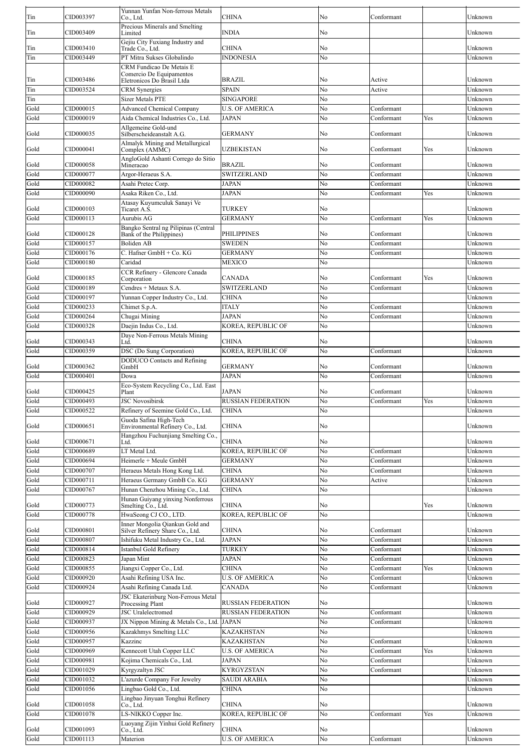| Tin          | CID003397              | Yunnan Yunfan Non-ferrous Metals<br>Co., Ltd.                                            | CHINA                                                  | No       | Conformant               |     | Unknown            |
|--------------|------------------------|------------------------------------------------------------------------------------------|--------------------------------------------------------|----------|--------------------------|-----|--------------------|
| Tin          | CID003409              | Precious Minerals and Smelting<br>Limited                                                | <b>INDIA</b>                                           | No       |                          |     | Unknown            |
|              | CID003410              | Gejiu City Fuxiang Industry and                                                          | <b>CHINA</b>                                           |          |                          |     | Unknown            |
| Tin<br>Tin   | CID003449              | Trade Co., Ltd.<br>PT Mitra Sukses Globalindo                                            | <b>INDONESIA</b>                                       | No<br>No |                          |     | Unknown            |
|              |                        | CRM Fundicao De Metais E                                                                 |                                                        |          |                          |     |                    |
| Tin          | CID003486              | Comercio De Equipamentos<br>Eletronicos Do Brasil Ltda                                   | <b>BRAZIL</b>                                          | No       | Active                   |     | Unknown            |
| Tin          | CID003524              | <b>CRM</b> Synergies                                                                     | <b>SPAIN</b>                                           | No       | Active                   |     | Unknown            |
| Tin          |                        | <b>Sizer Metals PTE</b>                                                                  | <b>SINGAPORE</b>                                       | No       |                          |     | Unknown            |
| Gold         | CID000015              | <b>Advanced Chemical Company</b><br>Aida Chemical Industries Co., Ltd.                   | <b>U.S. OF AMERICA</b>                                 | No<br>No | Conformant               |     | Unknown            |
| Gold         | CID000019              | Allgemeine Gold-und                                                                      | <b>JAPAN</b>                                           |          | Conformant               | Yes | Unknown            |
| Gold         | CID000035              | Silberscheideanstalt A.G.                                                                | <b>GERMANY</b>                                         | No       | Conformant               |     | Unknown            |
| Gold         | CID000041              | Almalyk Mining and Metallurgical<br>Complex (AMMC)<br>AngloGold Ashanti Corrego do Sitio | UZBEKISTAN                                             | No       | Conformant               | Yes | Unknown            |
| Gold         | CID000058              | Mineracao                                                                                | <b>BRAZIL</b>                                          | No       | Conformant               |     | Unknown            |
| Gold         | CID000077              | Argor-Heraeus S.A.                                                                       | SWITZERLAND                                            | No       | Conformant               |     | Unknown            |
| Gold         | CID000082<br>CID000090 | Asahi Pretec Corp.<br>Asaka Riken Co., Ltd.                                              | JAPAN<br><b>JAPAN</b>                                  | No<br>No | Conformant<br>Conformant | Yes | Unknown<br>Unknown |
| Gold         |                        | Atasay Kuyumculuk Sanayi Ve                                                              |                                                        |          |                          |     |                    |
| Gold         | CID000103              | Ticaret A.S.                                                                             | TURKEY                                                 | No       |                          |     | Unknown            |
| Gold         | CID000113              | Aurubis AG<br>Bangko Sentral ng Pilipinas (Central                                       | <b>GERMANY</b>                                         | No       | Conformant               | Yes | Unknown            |
| Gold         | CID000128              | Bank of the Philippines)                                                                 | <b>PHILIPPINES</b>                                     | No       | Conformant               |     | Unknown            |
| Gold         | CID000157              | <b>Boliden AB</b>                                                                        | <b>SWEDEN</b>                                          | No       | Conformant               |     | Unknown            |
| Gold         | CID000176              | C. Hafner GmbH + Co. KG                                                                  | <b>GERMANY</b>                                         | No       | Conformant               |     | Unknown            |
| Gold         | CID000180              | Caridad<br>CCR Refinery - Glencore Canada                                                | MEXICO                                                 | No       |                          |     | Unknown            |
| Gold         | CID000185              | Corporation                                                                              | <b>CANADA</b>                                          | No       | Conformant               | Yes | Unknown            |
| Gold         | CID000189              | Cendres + Metaux S.A.                                                                    | <b>SWITZERLAND</b>                                     | No       | Conformant               |     | Unknown            |
| Gold         | CID000197              | Yunnan Copper Industry Co., Ltd.                                                         | <b>CHINA</b>                                           | No       |                          |     | Unknown            |
| Gold         | CID000233<br>CID000264 | Chimet S.p.A.<br>Chugai Mining                                                           | <b>ITALY</b><br><b>JAPAN</b>                           | No<br>No | Conformant               |     | Unknown<br>Unknown |
| Gold<br>Gold | CID000328              | Daejin Indus Co., Ltd.                                                                   | KOREA, REPUBLIC OF                                     | No       | Conformant               |     | Unknown            |
|              |                        | Daye Non-Ferrous Metals Mining                                                           |                                                        |          |                          |     |                    |
| Gold         | CID000343              | Ltd.                                                                                     | <b>CHINA</b>                                           | No       |                          |     | Unknown            |
| Gold         | CID000359              | DSC (Do Sung Corporation)<br>DODUCO Contacts and Refining                                | KOREA, REPUBLIC OF                                     | No       | Conformant               |     | Unknown            |
| Gold         | CID000362              | GmbH                                                                                     | <b>GERMANY</b>                                         | No       | Conformant               |     | Unknown            |
| Gold         | CID000401              | Dowa                                                                                     | <b>JAPAN</b>                                           | No       | Conformant               |     | Unknown            |
| Gold         | CID000425              | Eco-System Recycling Co., Ltd. East<br>Plant                                             | JAPAN                                                  | No       | Conformant               |     | Unknown            |
| Gold         | CID000493              | <b>JSC Novosibirsk</b>                                                                   | <b>RUSSIAN FEDERATION</b>                              | No       | Conformant               | Yes | Unknown            |
| Gold         |                        |                                                                                          | CHINA                                                  | No       |                          |     | Unknown            |
|              | CID000522              | Refinery of Seemine Gold Co., Ltd.                                                       |                                                        |          |                          |     |                    |
| Gold         | CID000651              | Guoda Safina High-Tech<br>Environmental Refinery Co., Ltd.                               | CHINA                                                  | No       |                          |     | Unknown            |
| Gold         | CID000671              | Hangzhou Fuchunjiang Smelting Co.,<br>Ltd.                                               | <b>CHINA</b>                                           | No       |                          |     | Unknown            |
| Gold         | CID000689              | LT Metal Ltd.                                                                            | KOREA, REPUBLIC OF                                     | No       | Conformant               |     | Unknown            |
| Gold         | CID000694              | Heimerle + Meule GmbH                                                                    | <b>GERMANY</b>                                         | No       | Conformant               |     | Unknown            |
| Gold         | CID000707              | Heraeus Metals Hong Kong Ltd.                                                            | <b>CHINA</b>                                           | No       | Conformant               |     | Unknown            |
| Gold         | CID000711              | Heraeus Germany GmbB Co. KG                                                              | <b>GERMANY</b>                                         | No       | Active                   |     | Unknown            |
| Gold         | CID000767              | Hunan Chenzhou Mining Co., Ltd.<br>Hunan Guiyang yinxing Nonferrous                      | <b>CHINA</b>                                           | No       |                          |     | Unknown            |
| Gold         | CID000773              | Smelting Co., Ltd.                                                                       | <b>CHINA</b>                                           | No       |                          | Yes | Unknown            |
| Gold         | CID000778              | HwaSeong CJ CO., LTD.                                                                    | KOREA, REPUBLIC OF                                     | No       |                          |     | Unknown            |
| Gold         | CID000801              | Inner Mongolia Qiankun Gold and<br>Silver Refinery Share Co., Ltd.                       | <b>CHINA</b>                                           | No       | Conformant               |     | Unknown            |
| Gold         | CID000807              | Ishifuku Metal Industry Co., Ltd.                                                        | JAPAN                                                  | No       | Conformant               |     | Unknown            |
| Gold         | CID000814              | Istanbul Gold Refinery                                                                   | TURKEY                                                 | No       | Conformant               |     | Unknown            |
| Gold         | CID000823              | Japan Mint                                                                               | <b>JAPAN</b><br><b>CHINA</b>                           | No<br>No | Conformant               | Yes | Unknown<br>Unknown |
| Gold<br>Gold | CID000855<br>CID000920 | Jiangxi Copper Co., Ltd.<br>Asahi Refining USA Inc.                                      | <b>U.S. OF AMERICA</b>                                 | No       | Conformant<br>Conformant |     | Unknown            |
| Gold         | CID000924              | Asahi Refining Canada Ltd.                                                               | <b>CANADA</b>                                          | No       | Conformant               |     | Unknown            |
|              |                        | <b>JSC Ekaterinburg Non-Ferrous Metal</b>                                                |                                                        |          |                          |     |                    |
| Gold<br>Gold | CID000927<br>CID000929 | Processing Plant<br><b>JSC</b> Uralelectromed                                            | <b>RUSSIAN FEDERATION</b><br><b>RUSSIAN FEDERATION</b> | No<br>No | Conformant               |     | Unknown<br>Unknown |
| Gold         | CID000937              | JX Nippon Mining & Metals Co., Ltd.                                                      | <b>JAPAN</b>                                           | No       | Conformant               |     | Unknown            |
| Gold         | CID000956              | Kazakhmys Smelting LLC                                                                   | <b>KAZAKHSTAN</b>                                      | No       |                          |     | Unknown            |
| Gold         | CID000957              | Kazzinc                                                                                  | <b>KAZAKHSTAN</b>                                      | No       | Conformant               |     | Unknown            |
| Gold         | CID000969              | Kennecott Utah Copper LLC                                                                | <b>U.S. OF AMERICA</b>                                 | No       | Conformant               | Yes | Unknown            |
| Gold         | CID000981              | Kojima Chemicals Co., Ltd.                                                               | JAPAN                                                  | No       | Conformant               |     | Unknown            |
| Gold<br>Gold | CID001029<br>CID001032 | Kyrgyzaltyn JSC<br>L'azurde Company For Jewelry                                          | <b>KYRGYZSTAN</b><br><b>SAUDI ARABIA</b>               | No<br>No | Conformant               |     | Unknown<br>Unknown |
| Gold         | CID001056              | Lingbao Gold Co., Ltd.                                                                   | <b>CHINA</b>                                           | No       |                          |     | Unknown            |
|              |                        | Lingbao Jinyuan Tonghui Refinery                                                         |                                                        |          |                          |     |                    |
| Gold         | CID001058<br>CID001078 | Co., Ltd.                                                                                | CHINA                                                  | No       |                          |     | Unknown            |
| Gold         |                        | LS-NIKKO Copper Inc.<br>Luoyang Zijin Yinhui Gold Refinery                               | KOREA, REPUBLIC OF                                     | No       | Conformant               | Yes | Unknown            |
| Gold<br>Gold | CID001093<br>CID001113 | Co., Ltd.<br>Materion                                                                    | CHINA<br><b>U.S. OF AMERICA</b>                        | No<br>No | Conformant               |     | Unknown<br>Unknown |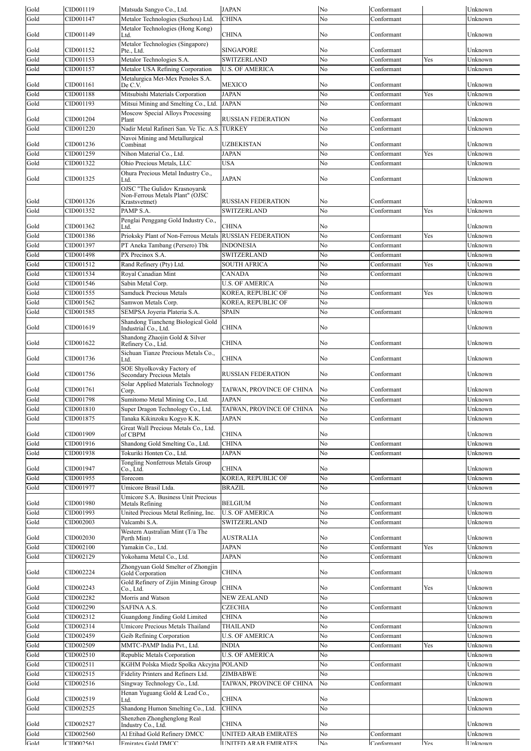| Gold         | CID001119              | Matsuda Sangyo Co., Ltd.                                         | <b>JAPAN</b>                                                | No          | Conformant               |            | Unknown                     |
|--------------|------------------------|------------------------------------------------------------------|-------------------------------------------------------------|-------------|--------------------------|------------|-----------------------------|
| Gold         | CID001147              | Metalor Technologies (Suzhou) Ltd.                               | <b>CHINA</b>                                                | No          | Conformant               |            | Unknown                     |
|              |                        | Metalor Technologies (Hong Kong)                                 |                                                             |             |                          |            |                             |
| Gold         | CID001149              | Ltd.                                                             | CHINA                                                       | No          | Conformant               |            | Unknown                     |
|              |                        | Metalor Technologies (Singapore)                                 |                                                             |             |                          |            |                             |
| Gold         | CID001152              | Pte., Ltd.                                                       | <b>SINGAPORE</b>                                            | No          | Conformant               |            | Unknown                     |
| Gold         | CID001153              | Metalor Technologies S.A.                                        | SWITZERLAND                                                 | No          | Conformant               | Yes        | Unknown                     |
| Gold         | CID001157              | Metalor USA Refining Corporation                                 | <b>U.S. OF AMERICA</b>                                      | No          | Conformant               |            | Unknown                     |
|              |                        | Metalurgica Met-Mex Penoles S.A.                                 |                                                             |             |                          |            |                             |
| Gold         | CID001161              | De C.V.                                                          | <b>MEXICO</b>                                               | No          | Conformant               |            | Unknown                     |
| Gold         | CID001188              | Mitsubishi Materials Corporation                                 | <b>JAPAN</b>                                                | No          | Conformant               | Yes        | Unknown                     |
| Gold         | CID001193              | Mitsui Mining and Smelting Co., Ltd.                             | <b>JAPAN</b>                                                | No          | Conformant               |            | Unknown                     |
|              |                        | Moscow Special Alloys Processing                                 |                                                             |             |                          |            |                             |
| Gold         | CID001204              | Plant                                                            | <b>RUSSIAN FEDERATION</b>                                   | No          | Conformant               |            | Unknown                     |
| Gold         | CID001220              | Nadir Metal Rafineri San. Ve Tic. A.S.                           | <b>TURKEY</b>                                               | No          | Conformant               |            | Unknown                     |
|              |                        | Navoi Mining and Metallurgical                                   |                                                             |             |                          |            |                             |
| Gold         | CID001236              | Combinat                                                         | <b>UZBEKISTAN</b>                                           | No          | Conformant               |            | Unknown                     |
| Gold         | CID001259              | Nihon Material Co., Ltd.                                         | JAPAN                                                       | No          | Conformant               | Yes        | Unknown                     |
| Gold         | CID001322              | Ohio Precious Metals, LLC                                        | USA                                                         | No          | Conformant               |            | Unknown                     |
|              |                        |                                                                  |                                                             |             |                          |            |                             |
| Gold         | CID001325              | Ohura Precious Metal Industry Co.,<br>Ltd.                       | JAPAN                                                       | No          | Conformant               |            | Unknown                     |
|              |                        |                                                                  |                                                             |             |                          |            |                             |
|              |                        | OJSC "The Gulidov Krasnoyarsk<br>Non-Ferrous Metals Plant" (OJSC |                                                             |             |                          |            |                             |
| Gold         | CID001326              | Krastsvetmet)                                                    | <b>RUSSIAN FEDERATION</b>                                   | No          | Conformant               |            | Unknown                     |
| Gold         | CID001352              | PAMP S.A.                                                        | SWITZERLAND                                                 | No          | Conformant               | Yes        | Unknown                     |
|              |                        | Penglai Penggang Gold Industry Co.,                              |                                                             |             |                          |            |                             |
| Gold         | CID001362              | Ltd.                                                             | CHINA                                                       | No          |                          |            | Unknown                     |
| Gold         | CID001386              | Prioksky Plant of Non-Ferrous Metals                             | <b>RUSSIAN FEDERATION</b>                                   | No          | Conformant               | Yes        | Unknown                     |
| Gold         | CID001397              | PT Aneka Tambang (Persero) Tbk                                   | <b>INDONESIA</b>                                            | No          | Conformant               |            | Unknown                     |
| Gold         | CID001498              | PX Precinox S.A.                                                 | SWITZERLAND                                                 | No          | Conformant               |            | Unknown                     |
| Gold         | CID001512              | Rand Refinery (Pty) Ltd.                                         | <b>SOUTH AFRICA</b>                                         | No          | Conformant               | Yes        | Unknown                     |
|              |                        |                                                                  |                                                             |             |                          |            |                             |
| Gold         | CID001534              | Royal Canadian Mint                                              | CANADA                                                      | No          | Conformant               |            | Unknown                     |
| Gold         | CID001546              | Sabin Metal Corp.                                                | <b>U.S. OF AMERICA</b>                                      | No          |                          |            | Unknown                     |
| Gold         | CID001555              | <b>Samduck Precious Metals</b>                                   | KOREA, REPUBLIC OF                                          | No          | Conformant               | Yes        | Unknown                     |
| Gold         | CID001562              | Samwon Metals Corp.                                              | KOREA, REPUBLIC OF                                          | No          |                          |            | Unknown                     |
| Gold         | CID001585              | SEMPSA Joyeria Plateria S.A.                                     | <b>SPAIN</b>                                                | No          | Conformant               |            | Unknown                     |
|              |                        |                                                                  |                                                             |             |                          |            |                             |
| Gold         | CID001619              | Shandong Tiancheng Biological Gold<br>Industrial Co., Ltd.       | CHINA                                                       | No          |                          |            | Unknown                     |
|              |                        | Shandong Zhaojin Gold & Silver                                   |                                                             |             |                          |            |                             |
| Gold         | CID001622              | Refinery Co., Ltd.                                               | <b>CHINA</b>                                                | No          | Conformant               |            | Unknown                     |
|              |                        | Sichuan Tianze Precious Metals Co.,                              |                                                             |             |                          |            |                             |
| Gold         | CID001736              | .td.                                                             | <b>CHINA</b>                                                | No          | Conformant               |            | Unknown                     |
|              |                        | SOE Shyolkovsky Factory of                                       |                                                             |             |                          |            |                             |
| Gold         | CID001756              | <b>Secondary Precious Metals</b>                                 | <b>RUSSIAN FEDERATION</b>                                   | No          | Conformant               |            | Unknown                     |
|              |                        | Solar Applied Materials Technology                               |                                                             |             |                          |            |                             |
| Gold         | CID001761              | Corp.                                                            | TAIWAN, PROVINCE OF CHINA                                   | No          | Conformant               |            | Unknown                     |
|              |                        | Sumitomo Metal Mining Co., Ltd.                                  | JAPAN                                                       | No          | Conformant               |            | Unknown                     |
| Gold         | CID001798              |                                                                  |                                                             |             |                          |            |                             |
| Gold         | CID001810              | Super Dragon Technology Co., Ltd.                                | TAIWAN, PROVINCE OF CHINA                                   | No          |                          |            | Unknown                     |
| Gold         | CID001875              | Tanaka Kikinzoku Kogyo K.K.                                      | <b>JAPAN</b>                                                | No          | Conformant               |            | Unknown                     |
|              |                        |                                                                  |                                                             |             |                          |            |                             |
| Gold         | CID001909              | Great Wall Precious Metals Co., Ltd.<br>of CBPM                  | <b>CHINA</b>                                                | No          |                          |            | Unknown                     |
| Gold         | CID001916              | Shandong Gold Smelting Co., Ltd.                                 | <b>CHINA</b>                                                | No          | Conformant               |            | Unknown                     |
|              | CID001938              | Tokuriki Honten Co., Ltd.                                        | <b>JAPAN</b>                                                |             | Conformant               |            | Unknown                     |
| Gold         |                        |                                                                  |                                                             | No          |                          |            |                             |
| Gold         | CID001947              | <b>Tongling Nonferrous Metals Group</b><br>Co., Ltd.             | <b>CHINA</b>                                                | No          |                          |            | Unknown                     |
| Gold         | CID001955              | Torecom                                                          | <b>KOREA, REPUBLIC OF</b>                                   | No          | Conformant               |            | Unknown                     |
|              | CID001977              |                                                                  | <b>BRAZIL</b>                                               |             |                          |            |                             |
| Gold         |                        | Umicore Brasil Ltda.                                             |                                                             | No          |                          |            | Unknown                     |
| Gold         | CID001980              | Umicore S.A. Business Unit Precious<br>Metals Refining           | <b>BELGIUM</b>                                              | No          | Conformant               |            | Unknown                     |
| Gold         | CID001993              |                                                                  | <b>U.S. OF AMERICA</b>                                      | No          | Conformant               |            | Unknown                     |
|              |                        | United Precious Metal Refining, Inc.                             |                                                             |             |                          |            |                             |
| Gold         | CID002003              | Valcambi S.A.                                                    | <b>SWITZERLAND</b>                                          | No          | Conformant               |            | Unknown                     |
| Gold         | CID002030              | Western Australian Mint (T/a The<br>Perth Mint)                  | AUSTRALIA                                                   | No          | Conformant               |            | Unknown                     |
|              | CID002100              |                                                                  |                                                             | No          |                          | Yes        |                             |
| Gold         |                        | Yamakin Co., Ltd.                                                | <b>JAPAN</b>                                                |             | Conformant               |            | Unknown                     |
| Gold         | CID002129              | Yokohama Metal Co., Ltd.                                         | JAPAN                                                       | No          | Conformant               |            | Unknown                     |
|              |                        | Zhongyuan Gold Smelter of Zhongjin                               |                                                             |             |                          |            |                             |
| Gold         | CID002224              | Gold Corporation                                                 | <b>CHINA</b>                                                | No          | Conformant               |            | Unknown                     |
| Gold         | CID002243              | Gold Refinery of Zijin Mining Group<br>Co., Ltd.                 | CHINA                                                       | No          | Conformant               | Yes        | Unknown                     |
|              |                        |                                                                  |                                                             |             |                          |            |                             |
| Gold         | CID002282              | Morris and Watson                                                | NEW ZEALAND                                                 | No          |                          |            | Unknown                     |
| Gold         | CID002290              | SAFINA A.S.                                                      | <b>CZECHIA</b>                                              | No          | Conformant               |            | Unknown                     |
| Gold         | CID002312              | Guangdong Jinding Gold Limited                                   | <b>CHINA</b>                                                | No          |                          |            | Unknown                     |
| Gold         | CID002314              | Umicore Precious Metals Thailand                                 | <b>THAILAND</b>                                             | No          | Conformant               |            | Unknown                     |
| Gold         | CID002459              | Geib Refining Corporation                                        | <b>U.S. OF AMERICA</b>                                      | No          | Conformant               |            | Unknown                     |
| Gold         | CID002509              | MMTC-PAMP India Pvt., Ltd.                                       | <b>INDIA</b>                                                | No          | Conformant               | Yes        | Unknown                     |
| Gold         | CID002510              | Republic Metals Corporation                                      | <b>U.S. OF AMERICA</b>                                      | No          |                          |            | Unknown                     |
|              |                        |                                                                  |                                                             |             |                          |            |                             |
| Gold         | CID002511              | KGHM Polska Miedz Spolka Akcyjna POLAND                          |                                                             | No          | Conformant               |            | Unknown                     |
| Gold         | CID002515              | Fidelity Printers and Refiners Ltd.                              | ZIMBABWE                                                    | No          |                          |            | Unknown                     |
| Gold         | CID002516              | Singway Technology Co., Ltd.                                     | TAIWAN, PROVINCE OF CHINA                                   | No          | Conformant               |            | Unknown                     |
|              |                        | Henan Yuguang Gold & Lead Co.,                                   |                                                             |             |                          |            |                             |
| Gold         | CID002519              | .td.                                                             | <b>CHINA</b>                                                | No          |                          |            | Unknown                     |
| Gold         | CID002525              | Shandong Humon Smelting Co., Ltd.                                | CHINA                                                       | No          |                          |            | Unknown                     |
|              |                        | Shenzhen Zhonghenglong Real                                      |                                                             |             |                          |            |                             |
| Gold         | CID002527              | Industry Co., Ltd.                                               | CHINA                                                       | No          |                          |            | Unknown                     |
| Gold<br>Gold | CID002560<br>CID002561 | Al Etihad Gold Refinery DMCC<br>Emirates Gold DMCC               | <b>UNITED ARAB EMIRATES</b><br><b>IINITED ARAB EMIRATES</b> | No<br>$N_0$ | Conformant<br>Conformant | <b>Yes</b> | Unknown<br><b>I</b> Inknown |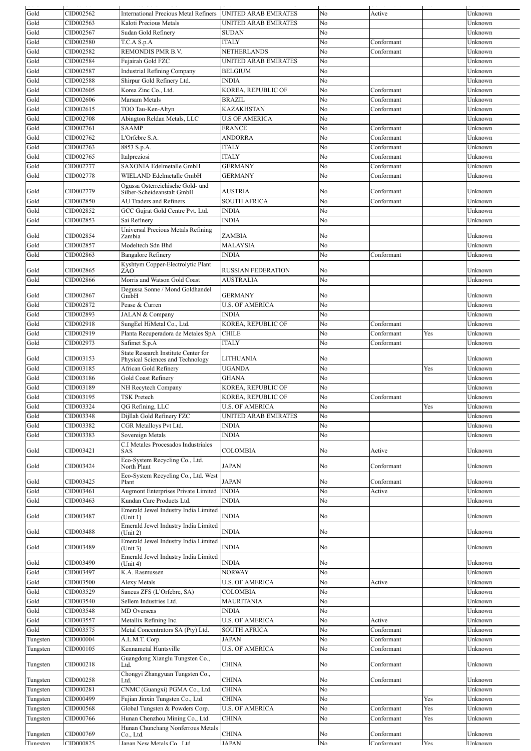| Gold            | CID002562 | <b>International Precious Metal Refiners</b>    | <b>UNITED ARAB EMIRATES</b> | No             | Active     |     | Unknown          |
|-----------------|-----------|-------------------------------------------------|-----------------------------|----------------|------------|-----|------------------|
| Gold            | CID002563 | Kaloti Precious Metals                          | UNITED ARAB EMIRATES        | No             |            |     | Unknown          |
| Gold            | CID002567 | Sudan Gold Refinery                             | <b>SUDAN</b>                | No             |            |     | Unknown          |
| Gold            | CID002580 | T.C.A S.p.A                                     | ITALY                       | No             | Conformant |     | Unknown          |
| Gold            | CID002582 | REMONDIS PMR B.V.                               | NETHERLANDS                 | No             | Conformant |     | Unknown          |
| Gold            | CID002584 | Fujairah Gold FZC                               | UNITED ARAB EMIRATES        | No             |            |     | Unknown          |
| Gold            | CID002587 | <b>Industrial Refining Company</b>              | BELGIUM                     | No             |            |     | Unknown          |
| Gold            | CID002588 | Shirpur Gold Refinery Ltd.                      | INDIA                       | No             |            |     | Unknown          |
| Gold            | CID002605 | Korea Zinc Co., Ltd.                            | KOREA, REPUBLIC OF          | No             | Conformant |     | Unknown          |
| Gold            | CID002606 | Marsam Metals                                   | BRAZIL                      | No             | Conformant |     | Unknown          |
| Gold            | CID002615 | TOO Tau-Ken-Altyn                               | KAZAKHSTAN                  | No             | Conformant |     | Unknown          |
| Gold            | CID002708 | Abington Reldan Metals, LLC                     | <b>U.S OF AMERICA</b>       | No             |            |     | Unknown          |
| Gold            | CID002761 | <b>SAAMP</b>                                    | FRANCE                      | No             | Conformant |     | Unknown          |
| Gold            | CID002762 | L'Orfebre S.A.                                  | <b>ANDORRA</b>              | No             | Conformant |     | Unknown          |
| Gold            | CID002763 | 8853 S.p.A.                                     | <b>ITALY</b>                | No             | Conformant |     | Unknown          |
| Gold            | CID002765 | Italpreziosi                                    | <b>ITALY</b>                | No             | Conformant |     | Unknown          |
| Gold            | CID002777 | SAXONIA Edelmetalle GmbH                        | <b>GERMANY</b>              | No             | Conformant |     | Unknown          |
| Gold            | CID002778 | WIELAND Edelmetalle GmbH                        | GERMANY                     | No             | Conformant |     | Unknown          |
|                 |           | Ogussa Osterreichische Gold- und                |                             |                |            |     |                  |
| Gold            | CID002779 | Silber-Scheideanstalt GmbH                      | AUSTRIA                     | No             | Conformant |     | Unknown          |
| Gold            | CID002850 | <b>AU Traders and Refiners</b>                  | <b>SOUTH AFRICA</b>         | No             | Conformant |     | Unknown          |
| Gold            | CID002852 | GCC Gujrat Gold Centre Pvt. Ltd.                | INDIA                       | No             |            |     | Unknown          |
| Gold            | CID002853 | Sai Refinery                                    | <b>INDIA</b>                | No             |            |     | Unknown          |
|                 |           | Universal Precious Metals Refining              |                             |                |            |     |                  |
| Gold            | CID002854 | Zambia                                          | ZAMBIA                      | No             |            |     | Unknown          |
| Gold            | CID002857 | Modeltech Sdn Bhd                               | MALAYSIA                    | No             |            |     | Unknown          |
| Gold            | CID002863 | <b>Bangalore Refinery</b>                       | <b>INDIA</b>                | No             | Conformant |     | Unknown          |
| Gold            | CID002865 | Kyshtym Copper-Electrolytic Plant<br>ZAO        | <b>RUSSIAN FEDERATION</b>   | No             |            |     | Unknown          |
| Gold            | CID002866 | Morris and Watson Gold Coast                    | <b>AUSTRALIA</b>            | No             |            |     | Unknown          |
|                 |           | Degussa Sonne / Mond Goldhandel                 |                             |                |            |     |                  |
| Gold            | CID002867 | GmbH                                            | GERMANY                     | No             |            |     | Unknown          |
| Gold            | CID002872 | Pease & Curren                                  | <b>U.S. OF AMERICA</b>      | No             |            |     | Unknown          |
| Gold            | CID002893 | JALAN & Company                                 | INDIA                       | No             |            |     | Unknown          |
| Gold            | CID002918 | SungEel HiMetal Co., Ltd.                       | KOREA, REPUBLIC OF          | No             | Conformant |     | Unknown          |
| Gold            | CID002919 | Planta Recuperadora de Metales SpA              | <b>CHILE</b>                | No             | Conformant | Yes | Unknown          |
| Gold            | CID002973 | Safimet S.p.A                                   | <b>ITALY</b>                | No             | Conformant |     | Unknown          |
|                 |           | State Research Institute Center for             |                             |                |            |     |                  |
| Gold            | CID003153 | Physical Sciences and Technology                | LITHUANIA                   | No             |            |     | Unknown          |
| Gold            | CID003185 | African Gold Refinery                           | UGANDA                      | No             |            | Yes | Unknown          |
| Gold            | CID003186 | Gold Coast Refinery                             | GHANA                       | No             |            |     | Unknown          |
| Gold            | CID003189 | NH Recytech Company                             | KOREA, REPUBLIC OF          | No             |            |     | Unknown          |
| Gold            | CID003195 | TSK Pretech                                     | KOREA, REPUBLIC OF          | No             | Conformant |     | Unknown          |
| Gold            | CID003324 | OG Refining, LLC                                | <b>U.S. OF AMERICA</b>      | No             |            | Yes | Unknown          |
| Gold            | CID003348 | Dijllah Gold Refinery FZC                       | UNITED ARAB EMIRATES        | No             |            |     | Unknown          |
| Gold            | CID003382 | CGR Metalloys Pvt Ltd.                          | INDIA                       | No             |            |     | Unknown          |
| Gold            | CID003383 | Sovereign Metals                                | <b>INDIA</b>                | No             |            |     | Unknown          |
|                 |           | C.I Metales Procesados Industriales             |                             |                |            |     |                  |
| Gold            | CID003421 | SAS                                             | COLOMBIA                    | No             | Active     |     | Unknown          |
|                 |           | Eco-System Recycling Co., Ltd.<br>North Plant   |                             |                |            |     |                  |
| Gold            | CID003424 |                                                 | JAPAN                       | No             | Conformant |     | Unknown          |
| Gold            | CID003425 | Eco-System Recycling Co., Ltd. West<br>Plant    | JAPAN                       | No             | Conformant |     | Unknown          |
| Gold            | CID003461 | <b>Augmont Enterprises Private Limited</b>      | <b>INDIA</b>                | No             | Active     |     | Unknown          |
| Gold            | CID003463 | Kundan Care Products Ltd.                       | <b>INDIA</b>                | No             |            |     | Unknown          |
|                 |           | Emerald Jewel Industry India Limited            |                             |                |            |     |                  |
| Gold            | CID003487 | (Unit 1)                                        | INDIA                       | No             |            |     | Unknown          |
|                 |           | Emerald Jewel Industry India Limited            |                             |                |            |     |                  |
| Gold            | CID003488 | (Unit 2)                                        | <b>INDIA</b>                | No             |            |     | Unknown          |
| Gold            | CID003489 | Emerald Jewel Industry India Limited<br>Unit 3) | <b>INDIA</b>                | No             |            |     | Unknown          |
|                 |           | Emerald Jewel Industry India Limited            |                             |                |            |     |                  |
| Gold            | CID003490 | (Unit 4)                                        | INDIA                       | No             |            |     | Unknown          |
| Gold            | CID003497 | K.A. Rasmussen                                  | <b>NORWAY</b>               | No             |            |     | Unknown          |
| Gold            | CID003500 | <b>Alexy Metals</b>                             | <b>U.S. OF AMERICA</b>      | No             | Active     |     | Unknown          |
| Gold            | CID003529 | Sancus ZFS (L'Orfebre, SA)                      | COLOMBIA                    | No             |            |     | Unknown          |
| Gold            | CID003540 | Sellem Industries Ltd.                          | <b>MAURITANIA</b>           | No             |            |     | Unknown          |
| Gold            | CID003548 | MD Overseas                                     | INDIA                       | No             |            |     | Unknown          |
| Gold            | CID003557 | Metallix Refining Inc.                          | <b>U.S. OF AMERICA</b>      | No             | Active     |     | Unknown          |
| Gold            | CID003575 | Metal Concentrators SA (Pty) Ltd.               | <b>SOUTH AFRICA</b>         | No             | Conformant |     | Unknown          |
| Tungsten        | CID000004 | A.L.M.T. Corp.                                  | <b>JAPAN</b>                | No             | Conformant |     | Unknown          |
| Tungsten        | CID000105 | Kennametal Huntsville                           | <b>U.S. OF AMERICA</b>      | No             | Conformant |     | Unknown          |
|                 |           | Guangdong Xianglu Tungsten Co.,                 |                             |                |            |     |                  |
| Tungsten        | CID000218 | Ltd.                                            | CHINA                       | No             | Conformant |     | Unknown          |
|                 |           | Chongyi Zhangyuan Tungsten Co.,                 |                             |                |            |     |                  |
| Tungsten        | CID000258 | Ltd.                                            | CHINA                       | No             | Conformant |     | Unknown          |
| <b>Tungsten</b> | CID000281 | CNMC (Guangxi) PGMA Co., Ltd.                   | CHINA                       | No             |            |     | Unknown          |
| Tungsten        | CID000499 | Fujian Jinxin Tungsten Co., Ltd.                | CHINA                       | No             |            | Yes | Unknown          |
| Tungsten        | CID000568 | Global Tungsten & Powders Corp.                 | <b>U.S. OF AMERICA</b>      | N <sub>0</sub> | Conformant | Yes | Unknown          |
| Tungsten        | CID000766 | Hunan Chenzhou Mining Co., Ltd.                 | <b>CHINA</b>                | No             | Conformant | Yes | Unknown          |
| Tungsten        | CID000769 | Hunan Chunchang Nonferrous Metals<br>Co., Ltd.  | CHINA                       | No             | Conformant |     | Unknown          |
|                 |           |                                                 |                             |                |            |     |                  |
| Tungsten        | CID000825 | Ianan New Metals Co. Ltd                        | <b>IAPAN</b>                | N <sub>0</sub> | Conformant | Yes | <b>I</b> Inknown |

Go d C 00 56 ates Go d CC UN S No Co o a t es U ow